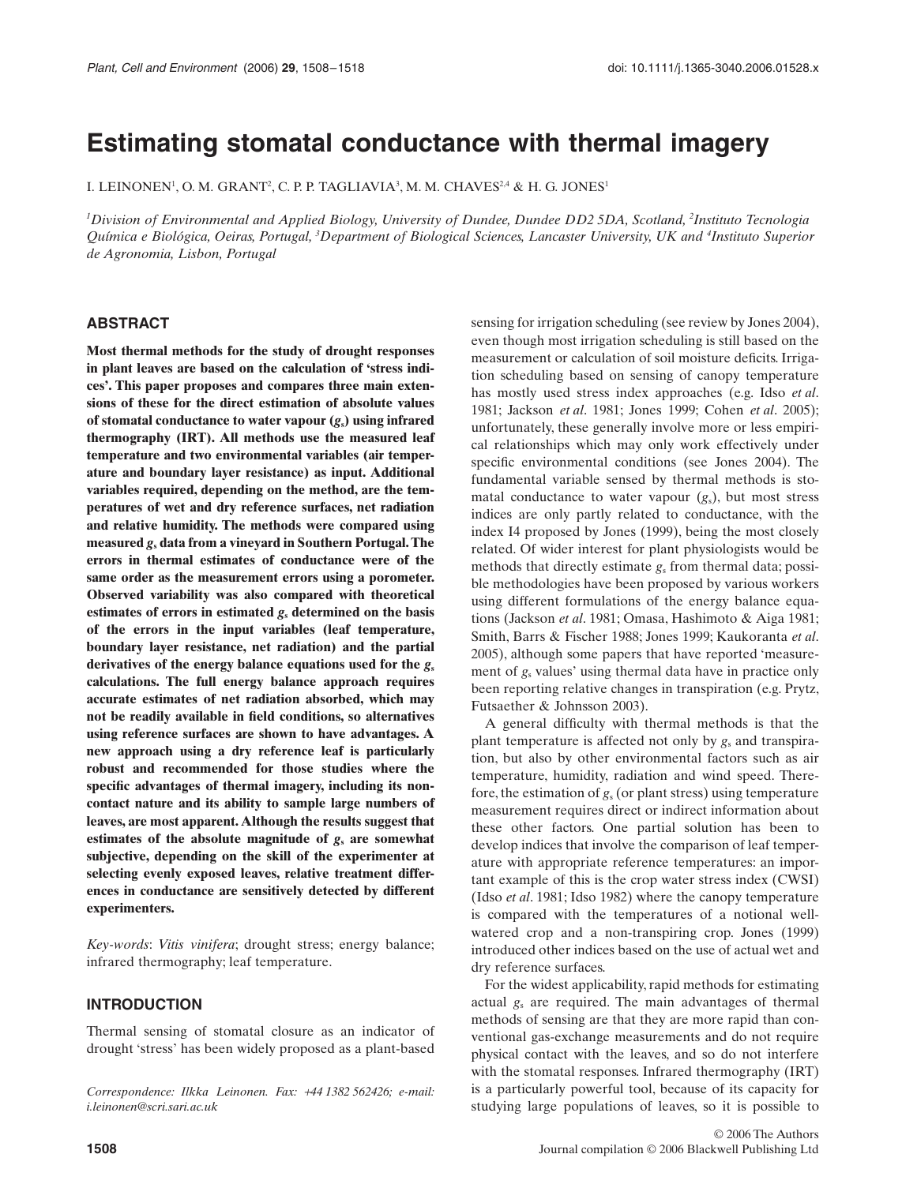# **Estimating stomatal conductance with thermal imagery**

I. LEINONEN $^1$ , O. M. GRANT $^2$ , C. P. P. TAGLIAVIA $^3$ , M. M. CHAVES $^{2,4}$  & H. G. JONES $^1$ 

*1 Division of Environmental and Applied Biology, University of Dundee, Dundee DD2 5DA, Scotland, 2 Instituto Tecnologia Química e Biológica, Oeiras, Portugal, 3 Department of Biological Sciences, Lancaster University, UK and 4 Instituto Superior de Agronomia, Lisbon, Portugal*

#### **ABSTRACT**

**Most thermal methods for the study of drought responses in plant leaves are based on the calculation of 'stress indices'. This paper proposes and compares three main extensions of these for the direct estimation of absolute values** of stomatal conductance to water vapour  $(g_s)$  using infrared **thermography (IRT). All methods use the measured leaf temperature and two environmental variables (air temperature and boundary layer resistance) as input. Additional variables required, depending on the method, are the temperatures of wet and dry reference surfaces, net radiation and relative humidity. The methods were compared using measured** *g***<sup>s</sup> data from a vineyard in Southern Portugal. The errors in thermal estimates of conductance were of the same order as the measurement errors using a porometer. Observed variability was also compared with theoretical estimates of errors in estimated** *g***<sup>s</sup> determined on the basis of the errors in the input variables (leaf temperature, boundary layer resistance, net radiation) and the partial** derivatives of the energy balance equations used for the  $g_s$ **calculations. The full energy balance approach requires accurate estimates of net radiation absorbed, which may not be readily available in field conditions, so alternatives using reference surfaces are shown to have advantages. A new approach using a dry reference leaf is particularly robust and recommended for those studies where the specific advantages of thermal imagery, including its noncontact nature and its ability to sample large numbers of leaves, are most apparent. Although the results suggest that estimates of the absolute magnitude of** *g***<sup>s</sup> are somewhat subjective, depending on the skill of the experimenter at selecting evenly exposed leaves, relative treatment differences in conductance are sensitively detected by different experimenters.**

*Key-words*: *Vitis vinifera*; drought stress; energy balance; infrared thermography; leaf temperature.

#### **INTRODUCTION**

Thermal sensing of stomatal closure as an indicator of drought 'stress' has been widely proposed as a plant-based

*Correspondence: Ilkka Leinonen. Fax:* +*44 1382 562426; e-mail: i.leinonen@scri.sari.ac.uk*

even though most irrigation scheduling is still based on the measurement or calculation of soil moisture deficits. Irrigation scheduling based on sensing of canopy temperature has mostly used stress index approaches (e.g. Idso *et al*. 1981; Jackson *et al*. 1981; Jones 1999; Cohen *et al*. 2005); unfortunately, these generally involve more or less empirical relationships which may only work effectively under specific environmental conditions (see Jones 2004). The fundamental variable sensed by thermal methods is stomatal conductance to water vapour (*g*s), but most stress indices are only partly related to conductance, with the index I4 proposed by Jones (1999), being the most closely related. Of wider interest for plant physiologists would be methods that directly estimate *g*<sup>s</sup> from thermal data; possible methodologies have been proposed by various workers using different formulations of the energy balance equations (Jackson *et al*. 1981; Omasa, Hashimoto & Aiga 1981; Smith, Barrs & Fischer 1988; Jones 1999; Kaukoranta *et al*. 2005), although some papers that have reported 'measurement of  $g_s$  values' using thermal data have in practice only been reporting relative changes in transpiration (e.g. Prytz, Futsaether & Johnsson 2003).

sensing for irrigation scheduling (see review by Jones 2004),

A general difficulty with thermal methods is that the plant temperature is affected not only by  $g_s$  and transpiration, but also by other environmental factors such as air temperature, humidity, radiation and wind speed. Therefore, the estimation of  $g<sub>s</sub>$  (or plant stress) using temperature measurement requires direct or indirect information about these other factors. One partial solution has been to develop indices that involve the comparison of leaf temperature with appropriate reference temperatures: an important example of this is the crop water stress index (CWSI) (Idso *et al*. 1981; Idso 1982) where the canopy temperature is compared with the temperatures of a notional wellwatered crop and a non-transpiring crop. Jones (1999) introduced other indices based on the use of actual wet and dry reference surfaces.

For the widest applicability, rapid methods for estimating actual *g*<sup>s</sup> are required. The main advantages of thermal methods of sensing are that they are more rapid than conventional gas-exchange measurements and do not require physical contact with the leaves, and so do not interfere with the stomatal responses. Infrared thermography (IRT) is a particularly powerful tool, because of its capacity for studying large populations of leaves, so it is possible to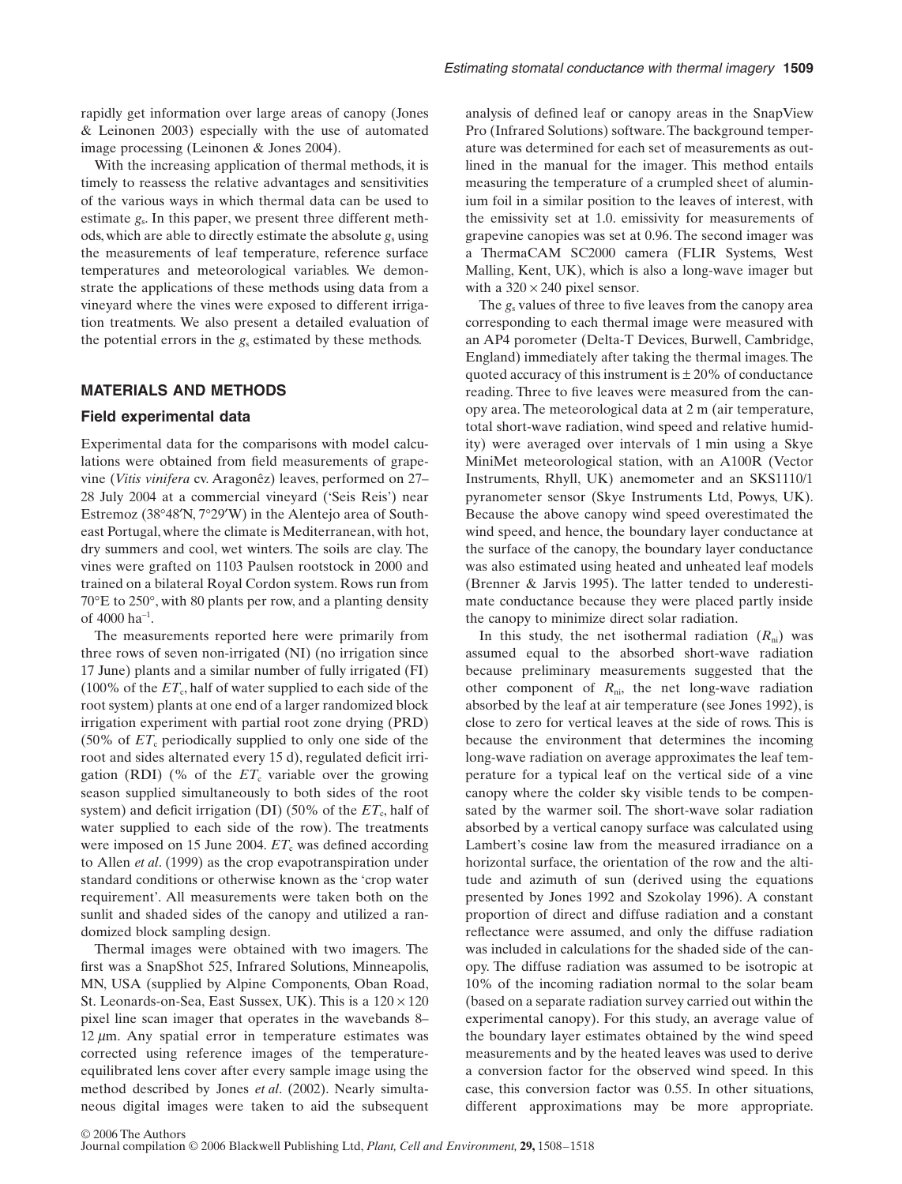rapidly get information over large areas of canopy (Jones & Leinonen 2003) especially with the use of automated image processing (Leinonen & Jones 2004).

With the increasing application of thermal methods, it is timely to reassess the relative advantages and sensitivities of the various ways in which thermal data can be used to estimate  $g_s$ . In this paper, we present three different methods, which are able to directly estimate the absolute  $g_s$  using the measurements of leaf temperature, reference surface temperatures and meteorological variables. We demonstrate the applications of these methods using data from a vineyard where the vines were exposed to different irrigation treatments. We also present a detailed evaluation of the potential errors in the  $g_s$  estimated by these methods.

# **MATERIALS AND METHODS**

#### **Field experimental data**

Experimental data for the comparisons with model calculations were obtained from field measurements of grapevine (*Vitis vinifera* cv. Aragonêz) leaves, performed on 27– 28 July 2004 at a commercial vineyard ('Seis Reis') near Estremoz (38°48′N, 7°29′W) in the Alentejo area of Southeast Portugal, where the climate is Mediterranean, with hot, dry summers and cool, wet winters. The soils are clay. The vines were grafted on 1103 Paulsen rootstock in 2000 and trained on a bilateral Royal Cordon system. Rows run from 70°E to 250°, with 80 plants per row, and a planting density of 4000 ha<sup>−</sup><sup>1</sup> .

The measurements reported here were primarily from three rows of seven non-irrigated (NI) (no irrigation since 17 June) plants and a similar number of fully irrigated (FI) (100% of the  $ET_c$ , half of water supplied to each side of the root system) plants at one end of a larger randomized block irrigation experiment with partial root zone drying (PRD) (50% of  $ET_c$  periodically supplied to only one side of the root and sides alternated every 15 d), regulated deficit irrigation (RDI) (% of the  $ET_c$  variable over the growing season supplied simultaneously to both sides of the root system) and deficit irrigation (DI) (50% of the  $ET_c$ , half of water supplied to each side of the row). The treatments were imposed on 15 June 2004.  $ET_c$  was defined according to Allen *et al*. (1999) as the crop evapotranspiration under standard conditions or otherwise known as the 'crop water requirement'. All measurements were taken both on the sunlit and shaded sides of the canopy and utilized a randomized block sampling design.

Thermal images were obtained with two imagers. The first was a SnapShot 525, Infrared Solutions, Minneapolis, MN, USA (supplied by Alpine Components, Oban Road, St. Leonards-on-Sea, East Sussex, UK). This is a  $120 \times 120$ pixel line scan imager that operates in the wavebands 8–  $12 \mu m$ . Any spatial error in temperature estimates was corrected using reference images of the temperatureequilibrated lens cover after every sample image using the method described by Jones *et al*. (2002). Nearly simultaneous digital images were taken to aid the subsequent analysis of defined leaf or canopy areas in the SnapView Pro (Infrared Solutions) software. The background temperature was determined for each set of measurements as outlined in the manual for the imager. This method entails measuring the temperature of a crumpled sheet of aluminium foil in a similar position to the leaves of interest, with the emissivity set at 1.0. emissivity for measurements of grapevine canopies was set at 0.96. The second imager was a ThermaCAM SC2000 camera (FLIR Systems, West Malling, Kent, UK), which is also a long-wave imager but with a  $320 \times 240$  pixel sensor.

The *g*<sup>s</sup> values of three to five leaves from the canopy area corresponding to each thermal image were measured with an AP4 porometer (Delta-T Devices, Burwell, Cambridge, England) immediately after taking the thermal images. The quoted accuracy of this instrument is  $\pm 20\%$  of conductance reading. Three to five leaves were measured from the canopy area. The meteorological data at 2 m (air temperature, total short-wave radiation, wind speed and relative humidity) were averaged over intervals of 1 min using a Skye MiniMet meteorological station, with an A100R (Vector Instruments, Rhyll, UK) anemometer and an SKS1110/1 pyranometer sensor (Skye Instruments Ltd, Powys, UK). Because the above canopy wind speed overestimated the wind speed, and hence, the boundary layer conductance at the surface of the canopy, the boundary layer conductance was also estimated using heated and unheated leaf models (Brenner & Jarvis 1995). The latter tended to underestimate conductance because they were placed partly inside the canopy to minimize direct solar radiation.

In this study, the net isothermal radiation  $(R_{ni})$  was assumed equal to the absorbed short-wave radiation because preliminary measurements suggested that the other component of  $R_{ni}$ , the net long-wave radiation absorbed by the leaf at air temperature (see Jones 1992), is close to zero for vertical leaves at the side of rows. This is because the environment that determines the incoming long-wave radiation on average approximates the leaf temperature for a typical leaf on the vertical side of a vine canopy where the colder sky visible tends to be compensated by the warmer soil. The short-wave solar radiation absorbed by a vertical canopy surface was calculated using Lambert's cosine law from the measured irradiance on a horizontal surface, the orientation of the row and the altitude and azimuth of sun (derived using the equations presented by Jones 1992 and Szokolay 1996). A constant proportion of direct and diffuse radiation and a constant reflectance were assumed, and only the diffuse radiation was included in calculations for the shaded side of the canopy. The diffuse radiation was assumed to be isotropic at 10% of the incoming radiation normal to the solar beam (based on a separate radiation survey carried out within the experimental canopy). For this study, an average value of the boundary layer estimates obtained by the wind speed measurements and by the heated leaves was used to derive a conversion factor for the observed wind speed. In this case, this conversion factor was 0.55. In other situations, different approximations may be more appropriate.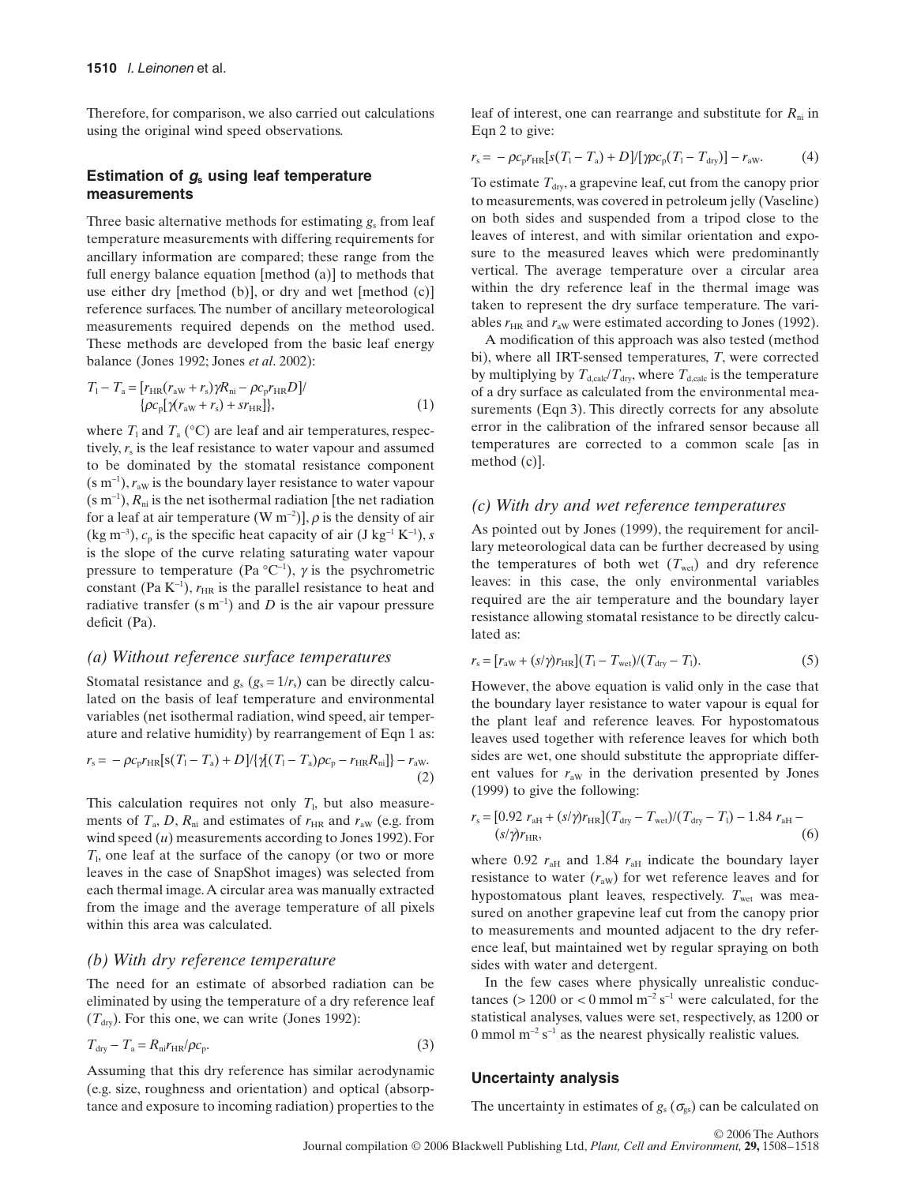Therefore, for comparison, we also carried out calculations using the original wind speed observations.

# **Estimation of** *g***<sup>s</sup> using leaf temperature measurements**

Three basic alternative methods for estimating  $g_s$  from leaf temperature measurements with differing requirements for ancillary information are compared; these range from the full energy balance equation [method (a)] to methods that use either dry [method (b)], or dry and wet [method (c)] reference surfaces. The number of ancillary meteorological measurements required depends on the method used. These methods are developed from the basic leaf energy balance (Jones 1992; Jones *et al*. 2002):

$$
T_1 - T_a = [r_{HR}(r_{aw} + r_s)\gamma R_{ni} - \rho c_p r_{HR} D]/
$$
  
{ $\rho c_p [\gamma (r_{aw} + r_s) + s r_{HR}],$  }(1)

where  $T_1$  and  $T_a$  (°C) are leaf and air temperatures, respectively,  $r<sub>s</sub>$  is the leaf resistance to water vapour and assumed to be dominated by the stomatal resistance component (s m<sup>-1</sup>),  $r_{\text{aw}}$  is the boundary layer resistance to water vapour  $(s \, \text{m}^{-1})$ ,  $R_{\text{ni}}$  is the net isothermal radiation [the net radiation for a leaf at air temperature (W m<sup>-2</sup>)],  $\rho$  is the density of air (kg m<sup>-3</sup>),  $c_p$  is the specific heat capacity of air (J kg<sup>-1</sup> K<sup>-1</sup>), *s* is the slope of the curve relating saturating water vapour pressure to temperature (Pa  $^{\circ}C^{-1}$ ),  $\gamma$  is the psychrometric constant (Pa  $K^{-1}$ ),  $r_{HR}$  is the parallel resistance to heat and radiative transfer  $(s \, m^{-1})$  and *D* is the air vapour pressure deficit (Pa).

# *(a) Without reference surface temperatures*

Stomatal resistance and  $g_s$  ( $g_s = 1/r_s$ ) can be directly calculated on the basis of leaf temperature and environmental variables (net isothermal radiation, wind speed, air temperature and relative humidity) by rearrangement of Eqn 1 as:

$$
r_{\rm s} = -\rho c_{\rm p} r_{\rm HR} [\mathbf{s} (T_{\rm l} - T_{\rm a}) + D] / \{ \gamma (T_{\rm l} - T_{\rm a}) \rho c_{\rm p} - r_{\rm HR} R_{\rm ni} \} - r_{\rm aw}.
$$
\n(2)

This calculation requires not only  $T<sub>1</sub>$ , but also measurements of  $T_a$ , D,  $R_{ni}$  and estimates of  $r_{HR}$  and  $r_{aw}$  (e.g. from wind speed (*u*) measurements according to Jones 1992). For *T*l, one leaf at the surface of the canopy (or two or more leaves in the case of SnapShot images) was selected from each thermal image. A circular area was manually extracted from the image and the average temperature of all pixels within this area was calculated.

# *(b) With dry reference temperature*

The need for an estimate of absorbed radiation can be eliminated by using the temperature of a dry reference leaf  $(T<sub>dry</sub>)$ . For this one, we can write (Jones 1992):

$$
T_{\rm dry} - T_{\rm a} = R_{\rm ni} r_{\rm HR} / \rho c_{\rm p}.
$$
\n(3)

Assuming that this dry reference has similar aerodynamic (e.g. size, roughness and orientation) and optical (absorptance and exposure to incoming radiation) properties to the leaf of interest, one can rearrange and substitute for  $R_{ni}$  in Eqn 2 to give:

$$
r_{\rm s} = -\rho c_{\rm p} r_{\rm HR} [s(T_1 - T_{\rm a}) + D] / [\gamma \rho c_{\rm p} (T_1 - T_{\rm dry})] - r_{\rm aw}.
$$
 (4)

To estimate  $T_{\text{dw}}$ , a grapevine leaf, cut from the canopy prior to measurements, was covered in petroleum jelly (Vaseline) on both sides and suspended from a tripod close to the leaves of interest, and with similar orientation and exposure to the measured leaves which were predominantly vertical. The average temperature over a circular area within the dry reference leaf in the thermal image was taken to represent the dry surface temperature. The variables  $r_{HR}$  and  $r_{aw}$  were estimated according to Jones (1992).

A modification of this approach was also tested (method bi), where all IRT-sensed temperatures, *T*, were corrected by multiplying by  $T_{d,\text{calc}}/T_{\text{dry}}$ , where  $T_{d,\text{calc}}$  is the temperature of a dry surface as calculated from the environmental measurements (Eqn 3). This directly corrects for any absolute error in the calibration of the infrared sensor because all temperatures are corrected to a common scale [as in method (c)].

## *(c) With dry and wet reference temperatures*

As pointed out by Jones (1999), the requirement for ancillary meteorological data can be further decreased by using the temperatures of both wet  $(T<sub>wet</sub>)$  and dry reference leaves: in this case, the only environmental variables required are the air temperature and the boundary layer resistance allowing stomatal resistance to be directly calculated as:

$$
r_{\rm s} = [r_{\rm aw} + (s/\gamma)r_{\rm HR}](T_1 - T_{\rm wet})/(T_{\rm dry} - T_1). \tag{5}
$$

However, the above equation is valid only in the case that the boundary layer resistance to water vapour is equal for the plant leaf and reference leaves. For hypostomatous leaves used together with reference leaves for which both sides are wet, one should substitute the appropriate different values for  $r_{\text{aw}}$  in the derivation presented by Jones (1999) to give the following:

$$
r_{\rm s} = [0.92 \ r_{\rm aH} + (s/\gamma)r_{\rm HR}](T_{\rm dry} - T_{\rm wet})/(T_{\rm dry} - T_{\rm l}) - 1.84 \ r_{\rm aH} - (s/\gamma)r_{\rm HR},\tag{6}
$$

where 0.92  $r<sub>aff</sub>$  and 1.84  $r<sub>aff</sub>$  indicate the boundary layer resistance to water  $(r_{aw})$  for wet reference leaves and for hypostomatous plant leaves, respectively.  $T<sub>wet</sub>$  was measured on another grapevine leaf cut from the canopy prior to measurements and mounted adjacent to the dry reference leaf, but maintained wet by regular spraying on both sides with water and detergent.

In the few cases where physically unrealistic conductances (> 1200 or < 0 mmol  $m^{-2} s^{-1}$  were calculated, for the statistical analyses, values were set, respectively, as 1200 or 0 mmol  $m^{-2}$  s<sup>-1</sup> as the nearest physically realistic values.

#### **Uncertainty analysis**

The uncertainty in estimates of  $g_s(\sigma_{gs})$  can be calculated on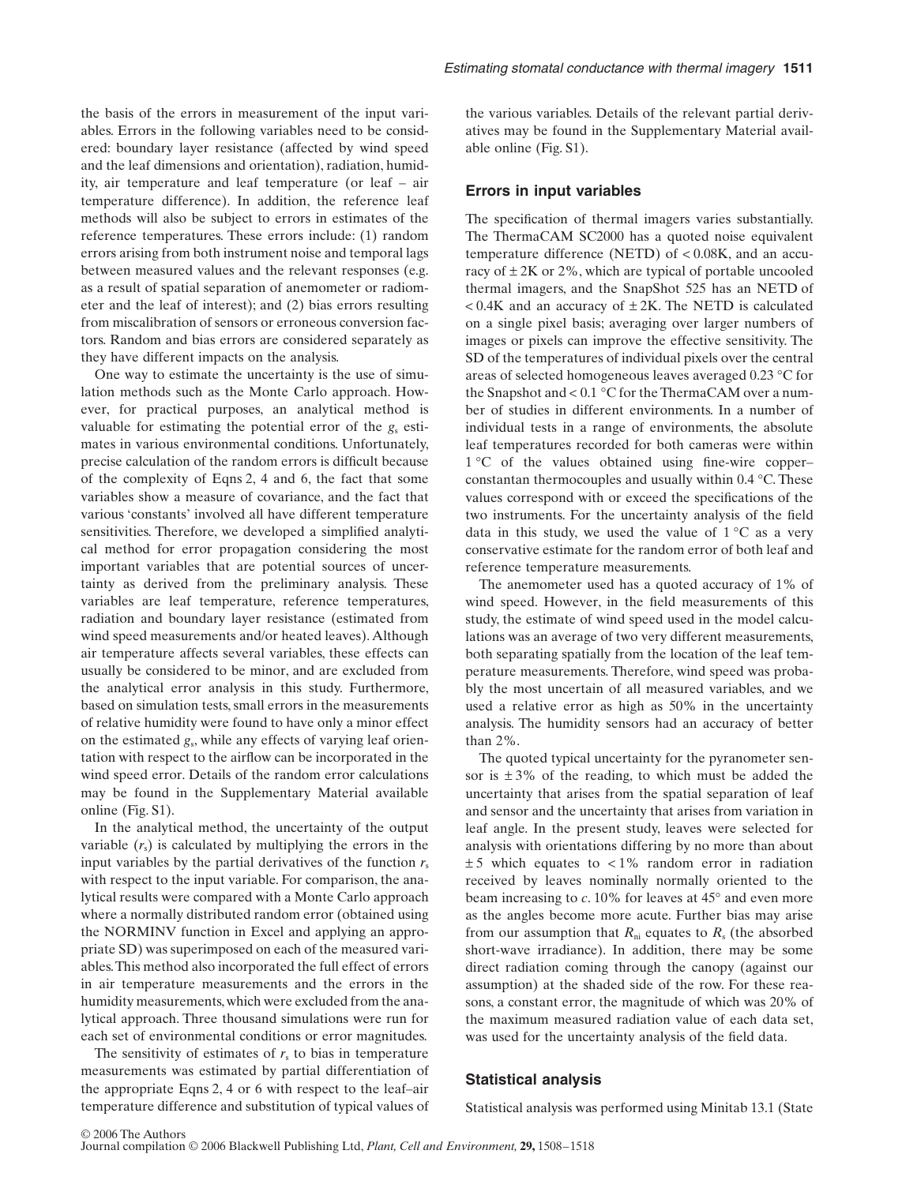the basis of the errors in measurement of the input variables. Errors in the following variables need to be considered: boundary layer resistance (affected by wind speed and the leaf dimensions and orientation), radiation, humidity, air temperature and leaf temperature (or leaf – air temperature difference). In addition, the reference leaf methods will also be subject to errors in estimates of the reference temperatures. These errors include: (1) random errors arising from both instrument noise and temporal lags between measured values and the relevant responses (e.g. as a result of spatial separation of anemometer or radiometer and the leaf of interest); and (2) bias errors resulting from miscalibration of sensors or erroneous conversion factors. Random and bias errors are considered separately as they have different impacts on the analysis.

One way to estimate the uncertainty is the use of simulation methods such as the Monte Carlo approach. However, for practical purposes, an analytical method is valuable for estimating the potential error of the  $g_s$  estimates in various environmental conditions. Unfortunately, precise calculation of the random errors is difficult because of the complexity of Eqns 2, 4 and 6, the fact that some variables show a measure of covariance, and the fact that various 'constants' involved all have different temperature sensitivities. Therefore, we developed a simplified analytical method for error propagation considering the most important variables that are potential sources of uncertainty as derived from the preliminary analysis. These variables are leaf temperature, reference temperatures, radiation and boundary layer resistance (estimated from wind speed measurements and/or heated leaves). Although air temperature affects several variables, these effects can usually be considered to be minor, and are excluded from the analytical error analysis in this study. Furthermore, based on simulation tests, small errors in the measurements of relative humidity were found to have only a minor effect on the estimated *g*s, while any effects of varying leaf orientation with respect to the airflow can be incorporated in the wind speed error. Details of the random error calculations may be found in the Supplementary Material available online (Fig. S1).

In the analytical method, the uncertainty of the output variable  $(r<sub>s</sub>)$  is calculated by multiplying the errors in the input variables by the partial derivatives of the function  $r<sub>s</sub>$ with respect to the input variable. For comparison, the analytical results were compared with a Monte Carlo approach where a normally distributed random error (obtained using the NORMINV function in Excel and applying an appropriate SD) was superimposed on each of the measured variables. This method also incorporated the full effect of errors in air temperature measurements and the errors in the humidity measurements, which were excluded from the analytical approach. Three thousand simulations were run for each set of environmental conditions or error magnitudes.

The sensitivity of estimates of  $r<sub>s</sub>$  to bias in temperature measurements was estimated by partial differentiation of the appropriate Eqns 2, 4 or 6 with respect to the leaf–air temperature difference and substitution of typical values of the various variables. Details of the relevant partial derivatives may be found in the Supplementary Material available online (Fig. S1).

#### **Errors in input variables**

The specification of thermal imagers varies substantially. The ThermaCAM SC2000 has a quoted noise equivalent temperature difference (NETD) of < 0.08K, and an accuracy of  $\pm 2K$  or 2%, which are typical of portable uncooled thermal imagers, and the SnapShot 525 has an NETD of  $< 0.4K$  and an accuracy of  $\pm 2K$ . The NETD is calculated on a single pixel basis; averaging over larger numbers of images or pixels can improve the effective sensitivity. The SD of the temperatures of individual pixels over the central areas of selected homogeneous leaves averaged 0.23 °C for the Snapshot and < 0.1 °C for the ThermaCAM over a number of studies in different environments. In a number of individual tests in a range of environments, the absolute leaf temperatures recorded for both cameras were within 1 °C of the values obtained using fine-wire copperconstantan thermocouples and usually within 0.4 °C.These values correspond with or exceed the specifications of the two instruments. For the uncertainty analysis of the field data in this study, we used the value of  $1^{\circ}$ C as a very conservative estimate for the random error of both leaf and reference temperature measurements.

The anemometer used has a quoted accuracy of 1% of wind speed. However, in the field measurements of this study, the estimate of wind speed used in the model calculations was an average of two very different measurements, both separating spatially from the location of the leaf temperature measurements. Therefore, wind speed was probably the most uncertain of all measured variables, and we used a relative error as high as 50% in the uncertainty analysis. The humidity sensors had an accuracy of better than 2%.

The quoted typical uncertainty for the pyranometer sensor is  $\pm 3\%$  of the reading, to which must be added the uncertainty that arises from the spatial separation of leaf and sensor and the uncertainty that arises from variation in leaf angle. In the present study, leaves were selected for analysis with orientations differing by no more than about  $\pm 5$  which equates to  $\lt 1\%$  random error in radiation received by leaves nominally normally oriented to the beam increasing to *c*. 10% for leaves at 45° and even more as the angles become more acute. Further bias may arise from our assumption that  $R_{ni}$  equates to  $R_s$  (the absorbed short-wave irradiance). In addition, there may be some direct radiation coming through the canopy (against our assumption) at the shaded side of the row. For these reasons, a constant error, the magnitude of which was 20% of the maximum measured radiation value of each data set, was used for the uncertainty analysis of the field data.

#### **Statistical analysis**

Statistical analysis was performed using Minitab 13.1 (State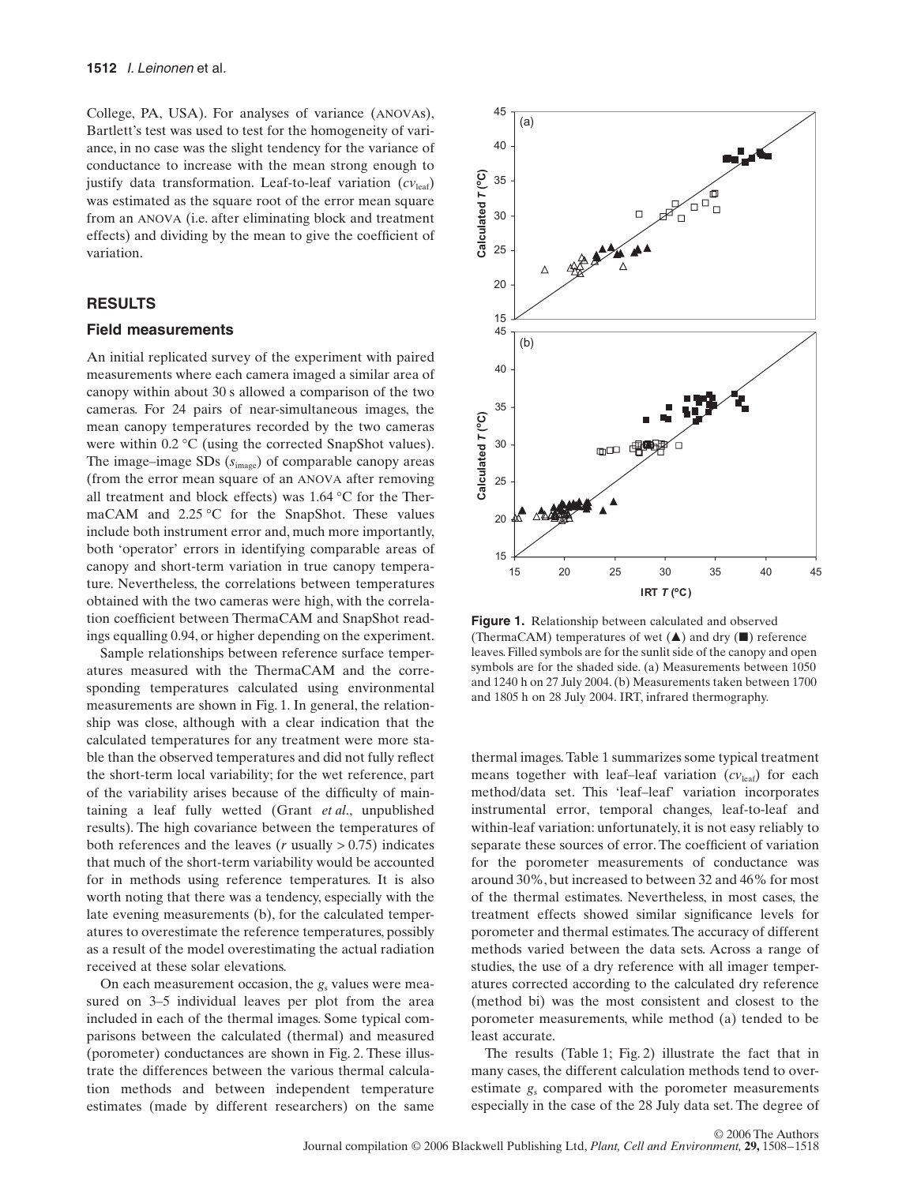College, PA, USA). For analyses of variance (ANOVAs), Bartlett's test was used to test for the homogeneity of variance, in no case was the slight tendency for the variance of conductance to increase with the mean strong enough to justify data transformation. Leaf-to-leaf variation  $(cv_{\text{leaf}})$ was estimated as the square root of the error mean square from an ANOVA (i.e. after eliminating block and treatment effects) and dividing by the mean to give the coefficient of variation.

# **RESULTS**

#### **Field measurements**

An initial replicated survey of the experiment with paired measurements where each camera imaged a similar area of canopy within about 30 s allowed a comparison of the two cameras. For 24 pairs of near-simultaneous images, the mean canopy temperatures recorded by the two cameras were within 0.2 °C (using the corrected SnapShot values). The image–image SDs (*s*image) of comparable canopy areas (from the error mean square of an ANOVA after removing all treatment and block effects) was 1.64 °C for the ThermaCAM and 2.25 °C for the SnapShot. These values include both instrument error and, much more importantly, both 'operator' errors in identifying comparable areas of canopy and short-term variation in true canopy temperature. Nevertheless, the correlations between temperatures obtained with the two cameras were high, with the correlation coefficient between ThermaCAM and SnapShot readings equalling 0.94, or higher depending on the experiment.

Sample relationships between reference surface temperatures measured with the ThermaCAM and the corresponding temperatures calculated using environmental measurements are shown in Fig. 1. In general, the relationship was close, although with a clear indication that the calculated temperatures for any treatment were more stable than the observed temperatures and did not fully reflect the short-term local variability; for the wet reference, part of the variability arises because of the difficulty of maintaining a leaf fully wetted (Grant *et al*., unpublished results). The high covariance between the temperatures of both references and the leaves ( $r$  usually  $> 0.75$ ) indicates that much of the short-term variability would be accounted for in methods using reference temperatures. It is also worth noting that there was a tendency, especially with the late evening measurements (b), for the calculated temperatures to overestimate the reference temperatures, possibly as a result of the model overestimating the actual radiation received at these solar elevations.

On each measurement occasion, the  $g_s$  values were measured on 3–5 individual leaves per plot from the area included in each of the thermal images. Some typical comparisons between the calculated (thermal) and measured (porometer) conductances are shown in Fig. 2. These illustrate the differences between the various thermal calculation methods and between independent temperature estimates (made by different researchers) on the same



**Figure 1.** Relationship between calculated and observed (ThermaCAM) temperatures of wet  $(\triangle)$  and dry  $(\square)$  reference leaves. Filled symbols are for the sunlit side of the canopy and open symbols are for the shaded side. (a) Measurements between 1050 and 1240 h on 27 July 2004. (b) Measurements taken between 1700 and 1805 h on 28 July 2004. IRT, infrared thermography.

thermal images. Table 1 summarizes some typical treatment means together with leaf–leaf variation (*cv*leaf) for each method/data set. This 'leaf–leaf' variation incorporates instrumental error, temporal changes, leaf-to-leaf and within-leaf variation: unfortunately, it is not easy reliably to separate these sources of error. The coefficient of variation for the porometer measurements of conductance was around 30%, but increased to between 32 and 46% for most of the thermal estimates. Nevertheless, in most cases, the treatment effects showed similar significance levels for porometer and thermal estimates. The accuracy of different methods varied between the data sets. Across a range of studies, the use of a dry reference with all imager temperatures corrected according to the calculated dry reference (method bi) was the most consistent and closest to the porometer measurements, while method (a) tended to be least accurate.

The results (Table 1; Fig. 2) illustrate the fact that in many cases, the different calculation methods tend to overestimate  $g_s$  compared with the porometer measurements especially in the case of the 28 July data set. The degree of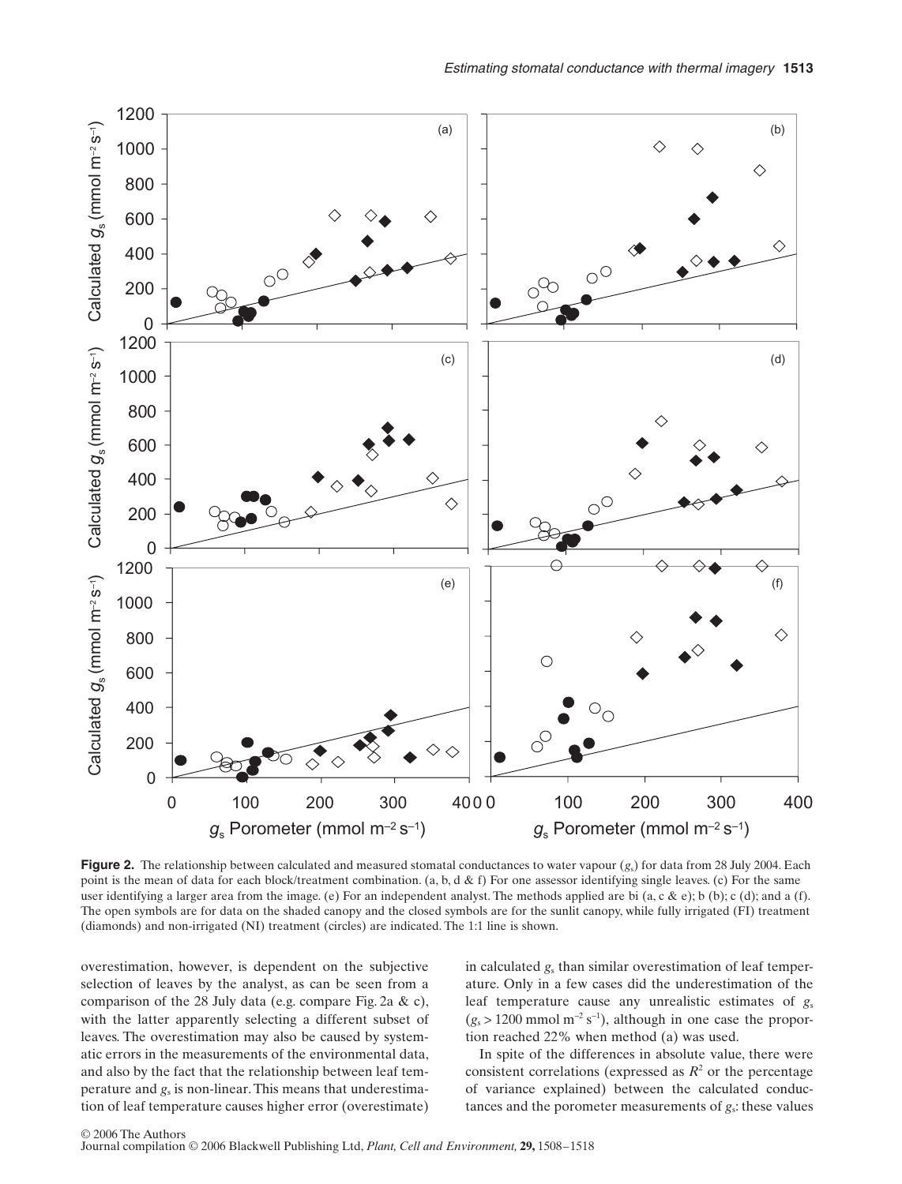

**Figure 2.** The relationship between calculated and measured stomatal conductances to water vapour (*g<sub>s</sub>*) for data from 28 July 2004. Each point is the mean of data for each block/treatment combination. (a, b, d & f) For one assessor identifying single leaves. (c) For the same user identifying a larger area from the image. (e) For an independent analyst. The methods applied are bi (a, c & e); b (b); c (d); and a (f). The open symbols are for data on the shaded canopy and the closed symbols are for the sunlit canopy, while fully irrigated (FI) treatment (diamonds) and non-irrigated (NI) treatment (circles) are indicated. The 1:1 line is shown.

overestimation, however, is dependent on the subjective selection of leaves by the analyst, as can be seen from a comparison of the 28 July data (e.g. compare Fig. 2a & c), with the latter apparently selecting a different subset of leaves. The overestimation may also be caused by systematic errors in the measurements of the environmental data, and also by the fact that the relationship between leaf temperature and *g*<sup>s</sup> is non-linear. This means that underestimation of leaf temperature causes higher error (overestimate) in calculated *g*<sup>s</sup> than similar overestimation of leaf temperature. Only in a few cases did the underestimation of the leaf temperature cause any unrealistic estimates of  $g_s$  $(g_s > 1200 \text{ mmol m}^{-2} \text{ s}^{-1})$ , although in one case the proportion reached 22% when method (a) was used.

In spite of the differences in absolute value, there were consistent correlations (expressed as  $R^2$  or the percentage of variance explained) between the calculated conductances and the porometer measurements of *g*s: these values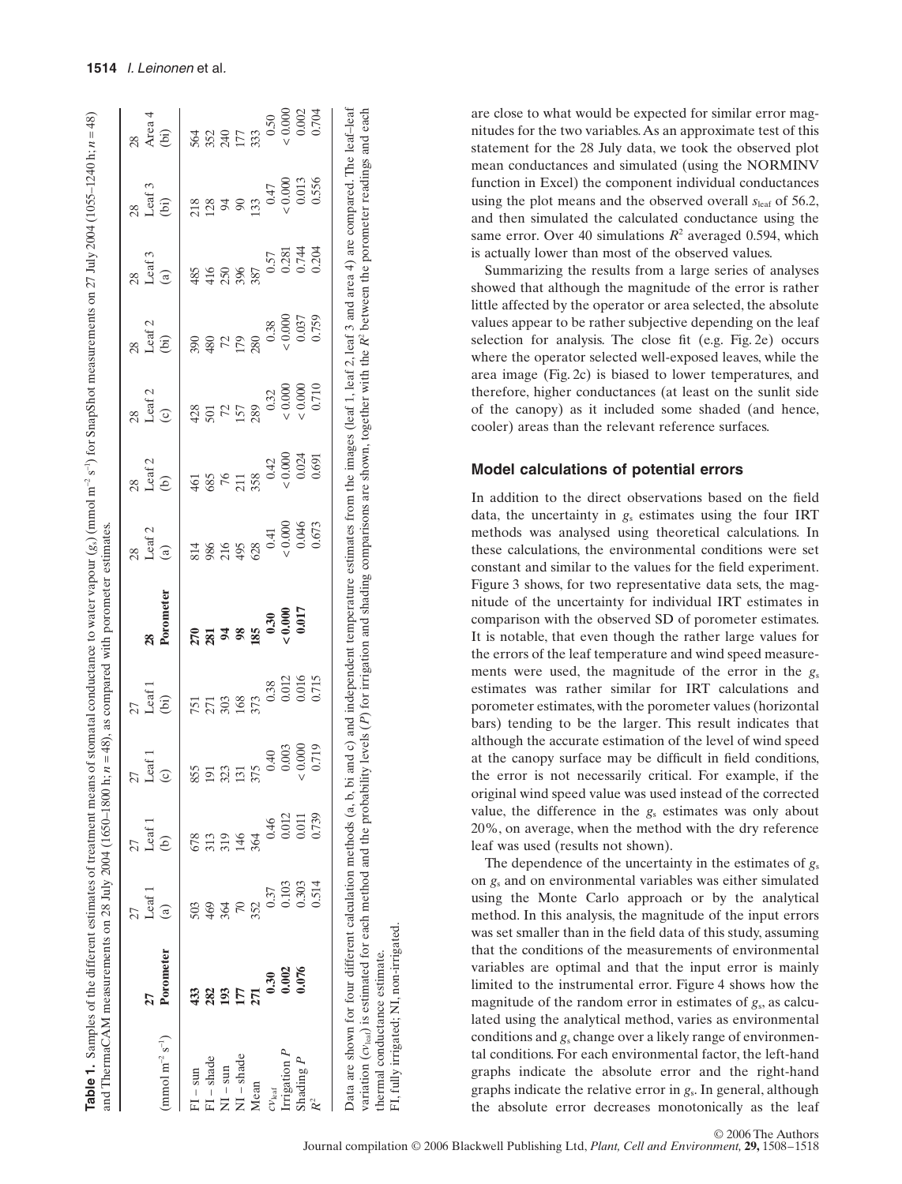|                                       |           |           | 27                |                   | 27                      |                              |                                                                     | 28                                                                                                                                                                                                                                                                                                                                                                                                |                       |                                                                | 28                                | 28                                                             |                                 |
|---------------------------------------|-----------|-----------|-------------------|-------------------|-------------------------|------------------------------|---------------------------------------------------------------------|---------------------------------------------------------------------------------------------------------------------------------------------------------------------------------------------------------------------------------------------------------------------------------------------------------------------------------------------------------------------------------------------------|-----------------------|----------------------------------------------------------------|-----------------------------------|----------------------------------------------------------------|---------------------------------|
|                                       | 27        | Leaf 1    | Leaf <sub>1</sub> | Leaf <sub>1</sub> |                         | 28                           | $\begin{array}{c} 28 \\ \text{Leaf 2} \\ \text{(a)} \end{array}$    |                                                                                                                                                                                                                                                                                                                                                                                                   | $28$<br>Leaf 2<br>(c) |                                                                | Leaf 3                            |                                                                |                                 |
| $(\text{mmol m}^{-2} \text{ s}^{-1})$ | Porometer | ලි        | ê                 |                   | Leaf $1$<br>(bi)        | Porometer                    |                                                                     | Leaf 2<br>(b)                                                                                                                                                                                                                                                                                                                                                                                     |                       | $28$<br>Leaf 2<br>(bi)                                         | $\widehat{a}$                     | Leaf 3<br>(bi)                                                 | $28$<br>Area 4<br>(bi)          |
| $FI - sun$                            | 433       | 503       | 678               | 855               |                         |                              |                                                                     |                                                                                                                                                                                                                                                                                                                                                                                                   |                       |                                                                |                                   |                                                                |                                 |
| $FI - shade$                          | 282       | 469       |                   | 191               | <b>ERS</b><br>ERS       | <u>ក្តី ដូន ន</u>            |                                                                     |                                                                                                                                                                                                                                                                                                                                                                                                   | 35758                 | 38 8 2 2 30                                                    | 435887                            | <b>Example</b>                                                 |                                 |
| $\overline{M}$ – sun                  | 193       | 364       | 319               |                   |                         |                              |                                                                     |                                                                                                                                                                                                                                                                                                                                                                                                   |                       |                                                                |                                   |                                                                |                                 |
| $\sqrt{1}$ – shade                    |           | $\approx$ |                   | 323<br>131<br>375 |                         |                              |                                                                     |                                                                                                                                                                                                                                                                                                                                                                                                   |                       |                                                                |                                   |                                                                |                                 |
| Mean                                  | 271       | 352       |                   |                   | 373                     |                              |                                                                     |                                                                                                                                                                                                                                                                                                                                                                                                   |                       |                                                                |                                   |                                                                |                                 |
| $\mathcal{N}_{\text{leaf}}$           | 0.30      | 0.37      | 0.46              | 0.40              | 0.38                    | $0.30$<br>$0.000$<br>$0.017$ | 814<br>986<br>985<br>90.000<br>90.000<br>00.000<br>00.000<br>00.000 | $\begin{array}{c}\n\text{4d} \\ \text{4e} \\ \text{6e} \\ \text{7d} \\ \text{8f} \\ \text{7e} \\ \text{7f} \\ \text{8g} \\ \text{9f} \\ \text{1000} \\ \text{140} \\ \text{141} \\ \text{1500} \\ \text{1600} \\ \text{1700} \\ \text{1801} \\ \text{1900} \\ \text{1000} \\ \text{1000} \\ \text{1000} \\ \text{1000} \\ \text{1000} \\ \text{1000} \\ \text{1000} \\ \text{1000} \\ \text{1000$ |                       |                                                                |                                   |                                                                | $5643523521773330.500.0000.002$ |
| Irrigation $P$                        | 0.002     | 0.103     | 0.012             | 0.003             |                         |                              |                                                                     |                                                                                                                                                                                                                                                                                                                                                                                                   | $\frac{0.32}{0.000}$  | $\begin{array}{c} 0.38 \\ 0.000 \\ 0.037 \\ 0.759 \end{array}$ | $0.57$<br>0.281<br>0.744<br>0.204 | $\begin{array}{c} 0.47 \\ 0.000 \\ 0.013 \\ 0.556 \end{array}$ |                                 |
| Shading $P$                           | 0.076     | 0.303     | 0.011             | 0.000             | 0.012<br>0.016<br>0.715 |                              |                                                                     |                                                                                                                                                                                                                                                                                                                                                                                                   |                       |                                                                |                                   |                                                                |                                 |
|                                       |           | 0.514     | 0.739             | 0.719             |                         |                              |                                                                     |                                                                                                                                                                                                                                                                                                                                                                                                   |                       |                                                                |                                   |                                                                | 0.704                           |

thermal conductance estimate. FI, fully irrigated; NI, non-irrigated.

fully irrigated; NI, non-irrigated. thermal conductance estimate.

E

**Table 1.** Samples of the different estimates of treatment means of stomatal conductance to water vapour  $(g_2)$  (mmol m<sup>-2</sup> s<sup>-1</sup>) for SnapShot measurements on 27 July 2004 (1055-1240 h;  $n = 48$ )

**le 1.** Samples of the different estimates of treatment means of stomatal conductance to water vapour (*g*s) (mmol m−2 s−1) for SnapShot measurements on 27 July 2004 (1055–1240 h; *n* = 48)

are close to what would be expected for similar error magnitudes for the two variables. As an approximate test of this statement for the 28 July data, we took the observed plot mean conductances and simulated (using the NORMINV function in Excel) the component individual conductances using the plot means and the observed overall  $s_{\text{leaf}}$  of 56.2, and then simulated the calculated conductance using the same error. Over 40 simulations  $R^2$  averaged 0.594, which is actually lower than most of the observed values.

Summarizing the results from a large series of analyses showed that although the magnitude of the error is rather little affected by the operator or area selected, the absolute values appear to be rather subjective depending on the leaf selection for analysis. The close fit (e.g. Fig. 2e) occurs where the operator selected well-exposed leaves, while the area image (Fig. 2c) is biased to lower temperatures, and therefore, higher conductances (at least on the sunlit side of the canopy) as it included some shaded (and hence, cooler) areas than the relevant reference surfaces.

#### **Model calculations of potential errors**

In addition to the direct observations based on the field data, the uncertainty in *g*<sup>s</sup> estimates using the four IRT methods was analysed using theoretical calculations. In these calculations, the environmental conditions were set constant and similar to the values for the field experiment. Figure 3 shows, for two representative data sets, the magnitude of the uncertainty for individual IRT estimates in comparison with the observed SD of porometer estimates. It is notable, that even though the rather large values for the errors of the leaf temperature and wind speed measurements were used, the magnitude of the error in the  $g_s$ estimates was rather similar for IRT calculations and porometer estimates, with the porometer values (horizontal bars) tending to be the larger. This result indicates that although the accurate estimation of the level of wind speed at the canopy surface may be difficult in field conditions, the error is not necessarily critical. For example, if the original wind speed value was used instead of the corrected value, the difference in the  $g_s$  estimates was only about 20%, on average, when the method with the dry reference leaf was used (results not shown).

The dependence of the uncertainty in the estimates of  $g_s$ on *g*<sup>s</sup> and on environmental variables was either simulated using the Monte Carlo approach or by the analytical method. In this analysis, the magnitude of the input errors was set smaller than in the field data of this study, assuming that the conditions of the measurements of environmental variables are optimal and that the input error is mainly limited to the instrumental error. Figure 4 shows how the magnitude of the random error in estimates of  $g_s$ , as calculated using the analytical method, varies as environmental conditions and *g*<sub>s</sub> change over a likely range of environmental conditions. For each environmental factor, the left-hand graphs indicate the absolute error and the right-hand graphs indicate the relative error in *g*s. In general, although the absolute error decreases monotonically as the leaf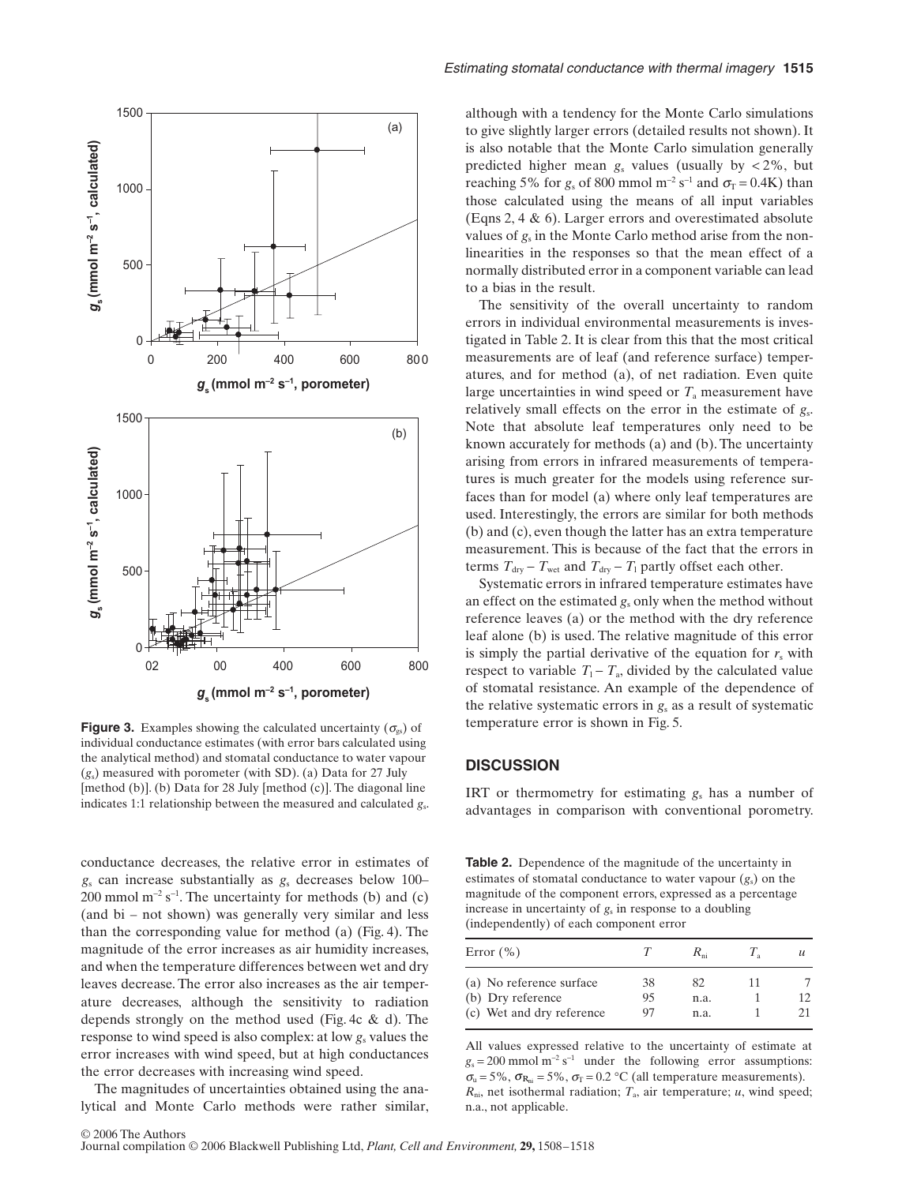

**Figure 3.** Examples showing the calculated uncertainty  $(\sigma_{gs})$  of individual conductance estimates (with error bars calculated using the analytical method) and stomatal conductance to water vapour (*g*s) measured with porometer (with SD). (a) Data for 27 July [method (b)]. (b) Data for 28 July [method (c)]. The diagonal line indicates 1:1 relationship between the measured and calculated *g*s.

conductance decreases, the relative error in estimates of *g*<sup>s</sup> can increase substantially as *g*<sup>s</sup> decreases below 100– 200 mmol  $m^{-2}$  s<sup>-1</sup>. The uncertainty for methods (b) and (c) (and bi – not shown) was generally very similar and less than the corresponding value for method (a) (Fig. 4). The magnitude of the error increases as air humidity increases, and when the temperature differences between wet and dry leaves decrease. The error also increases as the air temperature decreases, although the sensitivity to radiation depends strongly on the method used (Fig. 4c & d). The response to wind speed is also complex: at low  $g_s$  values the error increases with wind speed, but at high conductances the error decreases with increasing wind speed.

The magnitudes of uncertainties obtained using the analytical and Monte Carlo methods were rather similar, although with a tendency for the Monte Carlo simulations to give slightly larger errors (detailed results not shown). It is also notable that the Monte Carlo simulation generally predicted higher mean  $g_s$  values (usually by  $< 2\%$ , but reaching 5% for  $g_s$  of 800 mmol m<sup>-2</sup> s<sup>-1</sup> and  $\sigma_T$  = 0.4K) than those calculated using the means of all input variables (Eqns 2, 4 & 6). Larger errors and overestimated absolute values of  $g_s$  in the Monte Carlo method arise from the nonlinearities in the responses so that the mean effect of a normally distributed error in a component variable can lead to a bias in the result.

The sensitivity of the overall uncertainty to random errors in individual environmental measurements is investigated in Table 2. It is clear from this that the most critical measurements are of leaf (and reference surface) temperatures, and for method (a), of net radiation. Even quite large uncertainties in wind speed or  $T_a$  measurement have relatively small effects on the error in the estimate of *g*s. Note that absolute leaf temperatures only need to be known accurately for methods (a) and (b). The uncertainty arising from errors in infrared measurements of temperatures is much greater for the models using reference surfaces than for model (a) where only leaf temperatures are used. Interestingly, the errors are similar for both methods (b) and (c), even though the latter has an extra temperature measurement. This is because of the fact that the errors in terms  $T_{\text{dry}} - T_{\text{wet}}$  and  $T_{\text{dry}} - T_1$  partly offset each other.

Systematic errors in infrared temperature estimates have an effect on the estimated *g*<sup>s</sup> only when the method without reference leaves (a) or the method with the dry reference leaf alone (b) is used. The relative magnitude of this error is simply the partial derivative of the equation for  $r<sub>s</sub>$  with respect to variable  $T_1 - T_a$ , divided by the calculated value of stomatal resistance. An example of the dependence of the relative systematic errors in  $g<sub>s</sub>$  as a result of systematic temperature error is shown in Fig. 5.

#### **DISCUSSION**

IRT or thermometry for estimating *g*<sup>s</sup> has a number of advantages in comparison with conventional porometry.

**Table 2.** Dependence of the magnitude of the uncertainty in estimates of stomatal conductance to water vapour  $(g_s)$  on the magnitude of the component errors, expressed as a percentage increase in uncertainty of *g*<sup>s</sup> in response to a doubling (independently) of each component error

| Error $(\% )$                                 |          | $R_{\scriptscriptstyle \rm ni}$ |    | $\boldsymbol{\mu}$ |
|-----------------------------------------------|----------|---------------------------------|----|--------------------|
| (a) No reference surface<br>(b) Dry reference | 38<br>95 | 82.<br>n.a.                     | 11 | 12.                |
| (c) Wet and dry reference                     | 97       | n.a.                            |    |                    |

All values expressed relative to the uncertainty of estimate at  $g_s = 200$  mmol m<sup>-2</sup> s<sup>-1</sup> under the following error assumptions:  $\sigma_u = 5\%, \sigma_{R_{ni}} = 5\%, \sigma_T = 0.2 \text{ °C}$  (all temperature measurements).  $R_{ni}$ , net isothermal radiation;  $T_a$ , air temperature; *u*, wind speed; n.a., not applicable.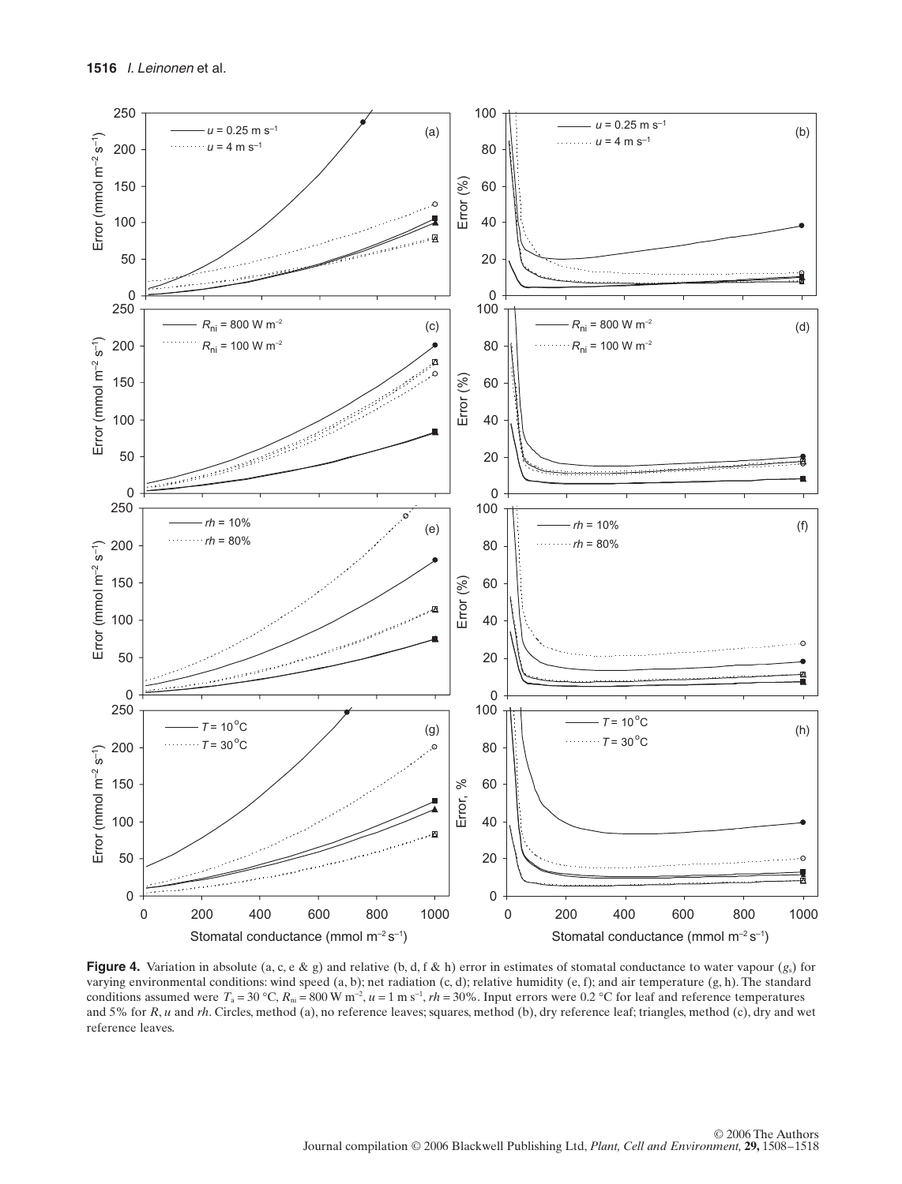

**Figure 4.** Variation in absolute (a, c, e & g) and relative (b, d, f & h) error in estimates of stomatal conductance to water vapour  $(g_s)$  for varying environmental conditions: wind speed (a, b); net radiation (c, d); relative humidity (e, f); and air temperature (g, h). The standard conditions assumed were  $T_a = 30 \degree C$ ,  $R_{ni} = 800 \degree W$  m<sup>-2</sup>,  $u = 1 \text{ m s}^{-1}$ ,  $rh = 30\%$ . Input errors were 0.2 °C for leaf and reference temperatures and 5% for *R*, *u* and *rh*. Circles, method (a), no reference leaves; squares, method (b), dry reference leaf; triangles, method (c), dry and wet reference leaves.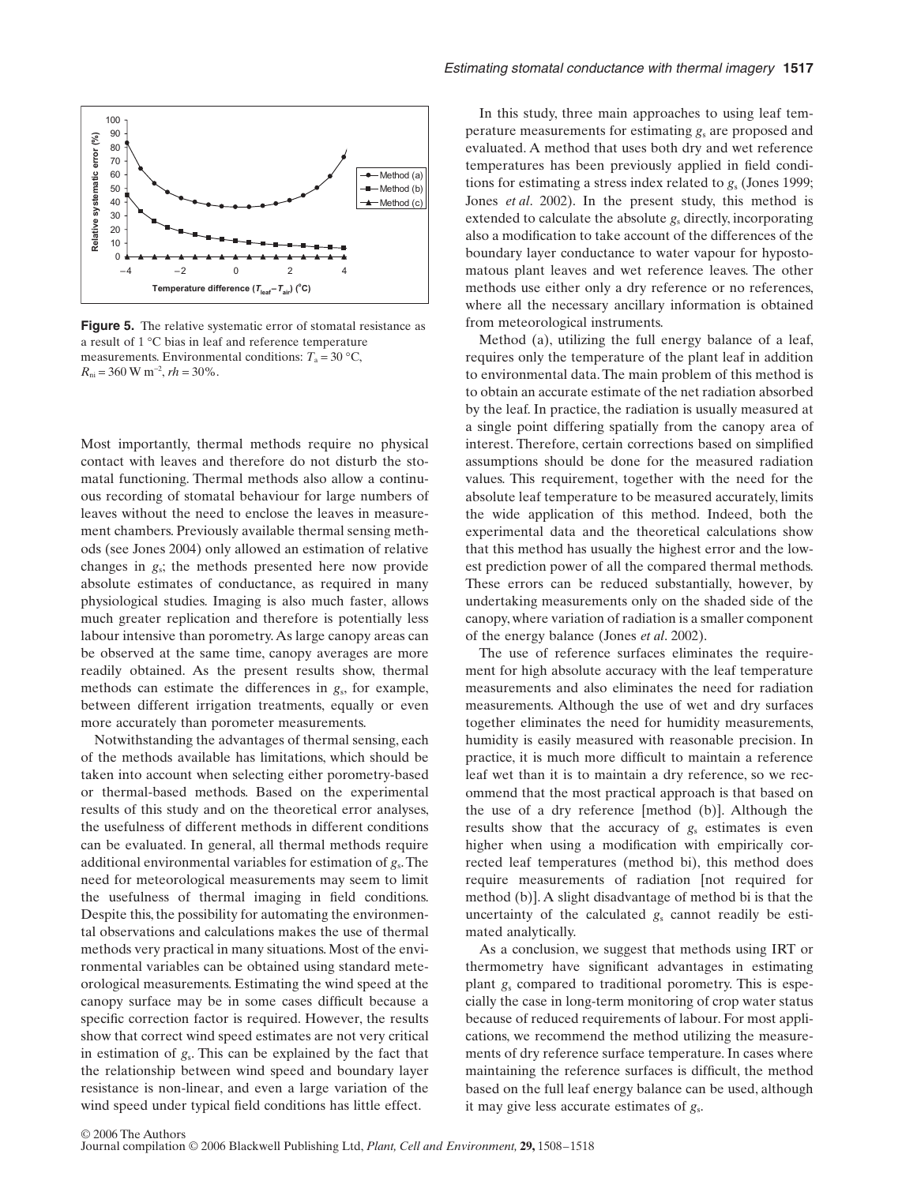

**Figure 5.** The relative systematic error of stomatal resistance as a result of 1 °C bias in leaf and reference temperature measurements. Environmental conditions:  $T_a = 30 \degree \text{C}$ ,  $R_{\rm ni}$  = 360 W m<sup>-2</sup>, *rh* = 30%.

Most importantly, thermal methods require no physical contact with leaves and therefore do not disturb the stomatal functioning. Thermal methods also allow a continuous recording of stomatal behaviour for large numbers of leaves without the need to enclose the leaves in measurement chambers. Previously available thermal sensing methods (see Jones 2004) only allowed an estimation of relative changes in *g*s; the methods presented here now provide absolute estimates of conductance, as required in many physiological studies. Imaging is also much faster, allows much greater replication and therefore is potentially less labour intensive than porometry. As large canopy areas can be observed at the same time, canopy averages are more readily obtained. As the present results show, thermal methods can estimate the differences in *g*s, for example, between different irrigation treatments, equally or even more accurately than porometer measurements.

Notwithstanding the advantages of thermal sensing, each of the methods available has limitations, which should be taken into account when selecting either porometry-based or thermal-based methods. Based on the experimental results of this study and on the theoretical error analyses, the usefulness of different methods in different conditions can be evaluated. In general, all thermal methods require additional environmental variables for estimation of *g*s. The need for meteorological measurements may seem to limit the usefulness of thermal imaging in field conditions. Despite this, the possibility for automating the environmental observations and calculations makes the use of thermal methods very practical in many situations. Most of the environmental variables can be obtained using standard meteorological measurements. Estimating the wind speed at the canopy surface may be in some cases difficult because a specific correction factor is required. However, the results show that correct wind speed estimates are not very critical in estimation of *g*s. This can be explained by the fact that the relationship between wind speed and boundary layer resistance is non-linear, and even a large variation of the wind speed under typical field conditions has little effect.

In this study, three main approaches to using leaf temperature measurements for estimating *g*, are proposed and evaluated. A method that uses both dry and wet reference temperatures has been previously applied in field conditions for estimating a stress index related to  $g<sub>s</sub>$  (Jones 1999; Jones *et al*. 2002). In the present study, this method is extended to calculate the absolute *g*s directly, incorporating also a modification to take account of the differences of the boundary layer conductance to water vapour for hypostomatous plant leaves and wet reference leaves. The other methods use either only a dry reference or no references, where all the necessary ancillary information is obtained from meteorological instruments.

Method (a), utilizing the full energy balance of a leaf, requires only the temperature of the plant leaf in addition to environmental data. The main problem of this method is to obtain an accurate estimate of the net radiation absorbed by the leaf. In practice, the radiation is usually measured at a single point differing spatially from the canopy area of interest. Therefore, certain corrections based on simplified assumptions should be done for the measured radiation values. This requirement, together with the need for the absolute leaf temperature to be measured accurately, limits the wide application of this method. Indeed, both the experimental data and the theoretical calculations show that this method has usually the highest error and the lowest prediction power of all the compared thermal methods. These errors can be reduced substantially, however, by undertaking measurements only on the shaded side of the canopy, where variation of radiation is a smaller component of the energy balance (Jones *et al*. 2002).

The use of reference surfaces eliminates the requirement for high absolute accuracy with the leaf temperature measurements and also eliminates the need for radiation measurements. Although the use of wet and dry surfaces together eliminates the need for humidity measurements, humidity is easily measured with reasonable precision. In practice, it is much more difficult to maintain a reference leaf wet than it is to maintain a dry reference, so we recommend that the most practical approach is that based on the use of a dry reference [method (b)]. Although the results show that the accuracy of  $g_s$  estimates is even higher when using a modification with empirically corrected leaf temperatures (method bi), this method does require measurements of radiation [not required for method (b)]. A slight disadvantage of method bi is that the uncertainty of the calculated  $g_s$  cannot readily be estimated analytically.

As a conclusion, we suggest that methods using IRT or thermometry have significant advantages in estimating plant *g*<sup>s</sup> compared to traditional porometry. This is especially the case in long-term monitoring of crop water status because of reduced requirements of labour. For most applications, we recommend the method utilizing the measurements of dry reference surface temperature. In cases where maintaining the reference surfaces is difficult, the method based on the full leaf energy balance can be used, although it may give less accurate estimates of *g*s.